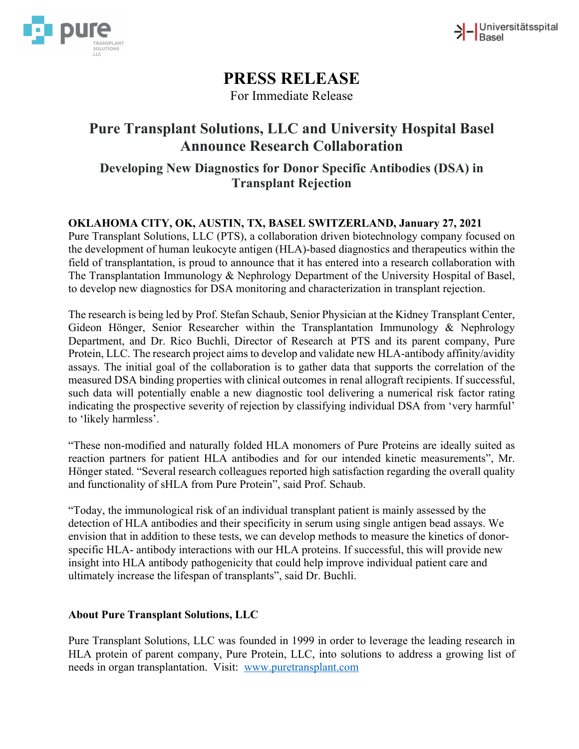

# **PRESS RELEASE**

For Immediate Release

## **Pure Transplant Solutions, LLC and University Hospital Basel Announce Research Collaboration**

**Developing New Diagnostics for Donor Specific Antibodies (DSA) in Transplant Rejection**

### **OKLAHOMA CITY, OK, AUSTIN, TX, BASEL SWITZERLAND, January 27, 2021**

Pure Transplant Solutions, LLC (PTS), a collaboration driven biotechnology company focused on the development of human leukocyte antigen (HLA)-based diagnostics and therapeutics within the field of transplantation, is proud to announce that it has entered into a research collaboration with The Transplantation Immunology & Nephrology Department of the University Hospital of Basel, to develop new diagnostics for DSA monitoring and characterization in transplant rejection.

The research is being led by Prof. Stefan Schaub, Senior Physician at the Kidney Transplant Center, Gideon Hönger, Senior Researcher within the Transplantation Immunology & Nephrology Department, and Dr. Rico Buchli, Director of Research at PTS and its parent company, Pure Protein, LLC. The research project aims to develop and validate new HLA-antibody affinity/avidity assays. The initial goal of the collaboration is to gather data that supports the correlation of the measured DSA binding properties with clinical outcomes in renal allograft recipients. If successful, such data will potentially enable a new diagnostic tool delivering a numerical risk factor rating indicating the prospective severity of rejection by classifying individual DSA from 'very harmful' to 'likely harmless'.

"These non-modified and naturally folded HLA monomers of Pure Proteins are ideally suited as reaction partners for patient HLA antibodies and for our intended kinetic measurements", Mr. Hönger stated. "Several research colleagues reported high satisfaction regarding the overall quality and functionality of sHLA from Pure Protein", said Prof. Schaub.

"Today, the immunological risk of an individual transplant patient is mainly assessed by the detection of HLA antibodies and their specificity in serum using single antigen bead assays. We envision that in addition to these tests, we can develop methods to measure the kinetics of donorspecific HLA- antibody interactions with our HLA proteins. If successful, this will provide new insight into HLA antibody pathogenicity that could help improve individual patient care and ultimately increase the lifespan of transplants", said Dr. Buchli.

### **About Pure Transplant Solutions, LLC**

Pure Transplant Solutions, LLC was founded in 1999 in order to leverage the leading research in HLA protein of parent company, Pure Protein, LLC, into solutions to address a growing list of needs in organ transplantation. Visit: www.puretransplant.com